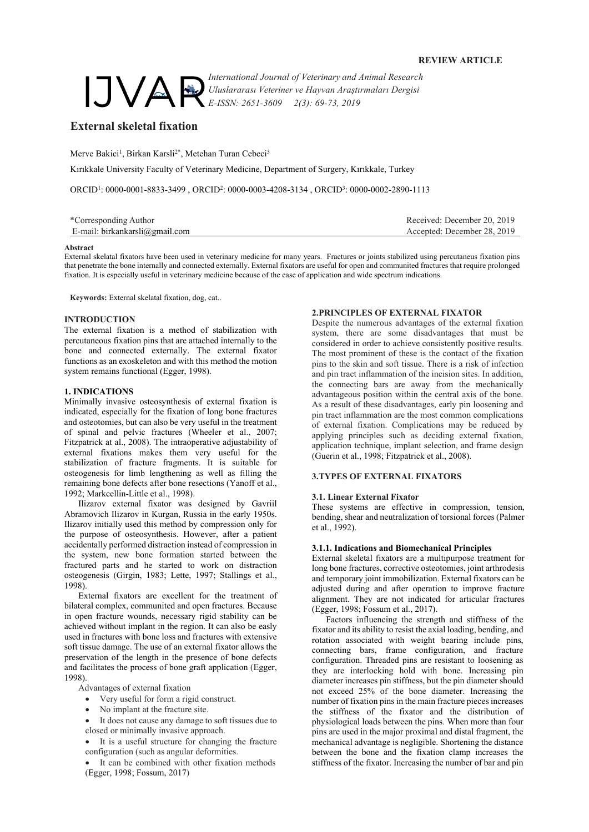

*International Journal of Veterinary and Animal Research Uluslararası Veteriner ve Hayvan Araştırmaları Dergisi E-ISSN: 2651-3609 2(3): 69-73, 2019*

# **External skeletal fixation**

Merve Bakici<sup>1</sup>, Birkan Karsli<sup>2\*</sup>, Metehan Turan Cebeci<sup>3</sup>

Kırıkkale University Faculty of Veterinary Medicine, Department of Surgery, Kırıkkale, Turkey

ORCID<sup>1</sup> : 0000-0001-8833-3499 , ORCID<sup>2</sup> : 0000-0003-4208-3134 , ORCID<sup>3</sup> : 0000-0002-2890-1113

| *Corresponding Author          | Received: December 20, 2019 |
|--------------------------------|-----------------------------|
| E-mail: birkankarsli@gmail.com | Accepted: December 28, 2019 |

#### **Abstract**

External skelatal fixators have been used in veterinary medicine for many years. Fractures or joints stabilized using percutaneus fixation pins that penetrate the bone internally and connected externally. External fixators are useful for open and communited fractures that require prolonged fixation. It is especially useful in veterinary medicine because of the ease of application and wide spectrum indications.

**Keywords:** External skelatal fixation, dog, cat..

# **INTRODUCTION**

The external fixation is a method of stabilization with percutaneous fixation pins that are attached internally to the bone and connected externally. The external fixator functions as an exoskeleton and with this method the motion system remains functional (Egger, 1998).

# **1. INDICATIONS**

Minimally invasive osteosynthesis of external fixation is indicated, especially for the fixation of long bone fractures and osteotomies, but can also be very useful in the treatment of spinal and pelvic fractures (Wheeler et al., 2007; Fitzpatrick at al., 2008). The intraoperative adjustability of external fixations makes them very useful for the stabilization of fracture fragments. It is suitable for osteogenesis for limb lengthening as well as filling the remaining bone defects after bone resections (Yanoff et al., 1992; Markcellin-Little et al., 1998).

Ilizarov external fixator was designed by Gavriil Abramovich Ilizarov in Kurgan, Russia in the early 1950s. Ilizarov initially used this method by compression only for the purpose of osteosynthesis. However, after a patient accidentally performed distraction instead of compression in the system, new bone formation started between the fractured parts and he started to work on distraction osteogenesis (Girgin, 1983; Lette, 1997; Stallings et al., 1998).

External fixators are excellent for the treatment of bilateral complex, communited and open fractures. Because in open fracture wounds, necessary rigid stability can be achieved without implant in the region. It can also be easly used in fractures with bone loss and fractures with extensive soft tissue damage. The use of an external fixator allows the preservation of the length in the presence of bone defects and facilitates the process of bone graft application (Egger, 1998).

Advantages of external fixation

- Very useful for form a rigid construct.
- No implant at the fracture site.

It does not cause any damage to soft tissues due to closed or minimally invasive approach.

It is a useful structure for changing the fracture configuration (such as angular deformities.

It can be combined with other fixation methods (Egger, 1998; Fossum, 2017)

### **2.PRINCIPLES OF EXTERNAL FIXATOR**

Despite the numerous advantages of the external fixation system, there are some disadvantages that must be considered in order to achieve consistently positive results. The most prominent of these is the contact of the fixation pins to the skin and soft tissue. There is a risk of infection and pin tract inflammation of the incision sites. In addition, the connecting bars are away from the mechanically advantageous position within the central axis of the bone. As a result of these disadvantages, early pin loosening and pin tract inflammation are the most common complications of external fixation. Complications may be reduced by applying principles such as deciding external fixation, application technique, implant selection, and frame design (Guerin et al., 1998; Fitzpatrick et al., 2008).

### **3.TYPES OF EXTERNAL FIXATORS**

#### **3.1. Linear External Fixator**

These systems are effective in compression, tension, bending, shear and neutralization of torsional forces (Palmer et al., 1992).

### **3.1.1. Indications and Biomechanical Principles**

External skeletal fixators are a multipurpose treatment for long bone fractures, corrective osteotomies, joint arthrodesis and temporary joint immobilization. External fixators can be adjusted during and after operation to improve fracture alignment. They are not indicated for articular fractures (Egger, 1998; Fossum et al., 2017).

Factors influencing the strength and stiffness of the fixator and its ability to resist the axial loading, bending, and rotation associated with weight bearing include pins, connecting bars, frame configuration, and fracture configuration. Threaded pins are resistant to loosening as they are interlocking hold with bone. Increasing pin diameter increases pin stiffness, but the pin diameter should not exceed 25% of the bone diameter. Increasing the number of fixation pins in the main fracture pieces increases the stiffness of the fixator and the distribution of physiological loads between the pins. When more than four pins are used in the major proximal and distal fragment, the mechanical advantage is negligible. Shortening the distance between the bone and the fixation clamp increases the stiffness of the fixator. Increasing the number of bar and pin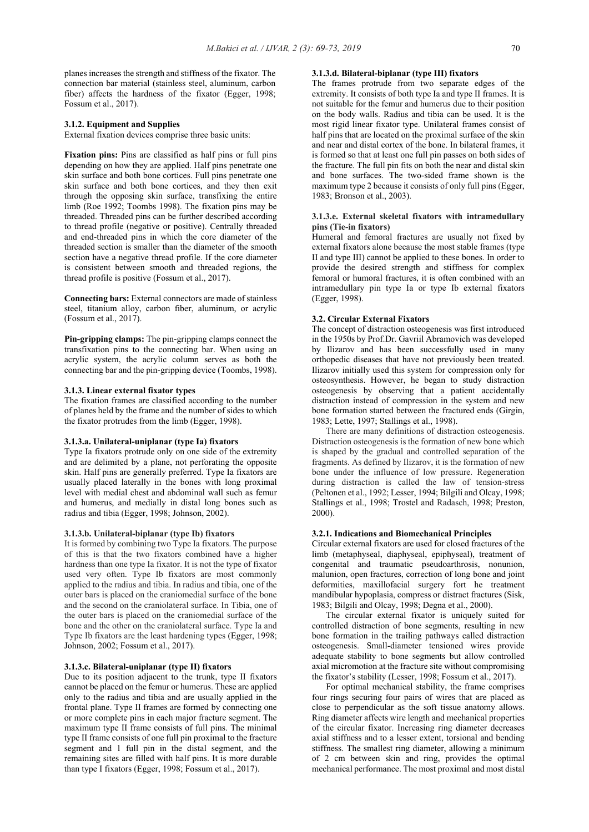planes increases the strength and stiffness of the fixator. The connection bar material (stainless steel, aluminum, carbon fiber) affects the hardness of the fixator (Egger, 1998; Fossum et al., 2017).

### **3.1.2. Equipment and Supplies**

External fixation devices comprise three basic units:

Fixation pins: Pins are classified as half pins or full pins depending on how they are applied. Half pins penetrate one skin surface and both bone cortices. Full pins penetrate one skin surface and both bone cortices, and they then exit through the opposing skin surface, transfixing the entire limb (Roe 1992; Toombs 1998). The fixation pins may be threaded. Threaded pins can be further described according to thread profile (negative or positive). Centrally threaded and end-threaded pins in which the core diameter of the threaded section is smaller than the diameter of the smooth section have a negative thread profile. If the core diameter is consistent between smooth and threaded regions, the thread profile is positive (Fossum et al., 2017).

**Connecting bars:** External connectors are made of stainless steel, titanium alloy, carbon fiber, aluminum, or acrylic (Fossum et al., 2017).

**Pin-gripping clamps:** The pin-gripping clamps connect the transfixation pins to the connecting bar. When using an acrylic system, the acrylic column serves as both the connecting bar and the pin-gripping device (Toombs, 1998).

### **3.1.3. Linear external fixator types**

The fixation frames are classified according to the number of planes held by the frame and the number of sides to which the fixator protrudes from the limb (Egger, 1998).

### **3.1.3.a. Unilateral-uniplanar (type Ia) fixators**

Type Ia fixators protrude only on one side of the extremity and are delimited by a plane, not perforating the opposite skin. Half pins are generally preferred. Type Ia fixators are usually placed laterally in the bones with long proximal level with medial chest and abdominal wall such as femur and humerus, and medially in distal long bones such as radius and tibia (Egger, 1998; Johnson, 2002).

# **3.1.3.b. Unilateral-biplanar (type Ib) fixators**

It is formed by combining two Type Ia fixators. The purpose of this is that the two fixators combined have a higher hardness than one type Ia fixator. It is not the type of fixator used very often. Type Ib fixators are most commonly applied to the radius and tibia. In radius and tibia, one of the outer bars is placed on the craniomedial surface of the bone and the second on the craniolateral surface. In Tibia, one of the outer bars is placed on the craniomedial surface of the bone and the other on the craniolateral surface. Type Ia and Type Ib fixators are the least hardening types (Egger, 1998; Johnson, 2002; Fossum et al., 2017).

# **3.1.3.c. Bilateral-uniplanar (type II) fixators**

Due to its position adjacent to the trunk, type II fixators cannot be placed on the femur or humerus. These are applied only to the radius and tibia and are usually applied in the frontal plane. Type II frames are formed by connecting one or more complete pins in each major fracture segment. The maximum type II frame consists of full pins. The minimal type II frame consists of one full pin proximal to the fracture segment and 1 full pin in the distal segment, and the remaining sites are filled with half pins. It is more durable than type I fixators (Egger, 1998; Fossum et al., 2017).

# **3.1.3.d. Bilateral-biplanar (type III) fixators**

The frames protrude from two separate edges of the extremity. It consists of both type Ia and type II frames. It is not suitable for the femur and humerus due to their position on the body walls. Radius and tibia can be used. It is the most rigid linear fixator type. Unilateral frames consist of half pins that are located on the proximal surface of the skin and near and distal cortex of the bone. In bilateral frames, it is formed so that at least one full pin passes on both sides of the fracture. The full pin fits on both the near and distal skin and bone surfaces. The two-sided frame shown is the maximum type 2 because it consists of only full pins (Egger, 1983; Bronson et al., 2003).

### **3.1.3.e. External skeletal fixators with intramedullary pins (Tie-in fixators)**

Humeral and femoral fractures are usually not fixed by external fixators alone because the most stable frames (type II and type III) cannot be applied to these bones. In order to provide the desired strength and stiffness for complex femoral or humoral fractures, it is often combined with an intramedullary pin type Ia or type Ib external fixators (Egger, 1998).

# **3.2. Circular External Fixators**

The concept of distraction osteogenesis was first introduced in the 1950s by Prof.Dr. Gavriil Abramovich was developed by Ilizarov and has been successfully used in many orthopedic diseases that have not previously been treated. Ilizarov initially used this system for compression only for osteosynthesis. However, he began to study distraction osteogenesis by observing that a patient accidentally distraction instead of compression in the system and new bone formation started between the fractured ends (Girgin, 1983; Lette, 1997; Stallings et al., 1998).

There are many definitions of distraction osteogenesis. Distraction osteogenesis is the formation of new bone which is shaped by the gradual and controlled separation of the fragments. As defined by Ilizarov, it is the formation of new bone under the influence of low pressure. Regeneration during distraction is called the law of tension-stress (Peltonen et al., 1992; Lesser, 1994; Bilgili and Olcay, 1998; Stallings et al., 1998; Trostel and Radasch, 1998; Preston, 2000).

# **3.2.1. Indications and Biomechanical Principles**

Circular external fixators are used for closed fractures of the limb (metaphyseal, diaphyseal, epiphyseal), treatment of congenital and traumatic pseudoarthrosis, nonunion, malunion, open fractures, correction of long bone and joint deformities, maxillofacial surgery fort he treatment mandibular hypoplasia, compress or distract fractures (Sisk, 1983; Bilgili and Olcay, 1998; Degna et al., 2000).

The circular external fixator is uniquely suited for controlled distraction of bone segments, resulting in new bone formation in the trailing pathways called distraction osteogenesis. Small-diameter tensioned wires provide adequate stability to bone segments but allow controlled axial micromotion at the fracture site without compromising the fixator's stability (Lesser, 1998; Fossum et al., 2017).

For optimal mechanical stability, the frame comprises four rings securing four pairs of wires that are placed as close to perpendicular as the soft tissue anatomy allows. Ring diameter affects wire length and mechanical properties of the circular fixator. Increasing ring diameter decreases axial stiffness and to a lesser extent, torsional and bending stiffness. The smallest ring diameter, allowing a minimum of 2 cm between skin and ring, provides the optimal mechanical performance. The most proximal and most distal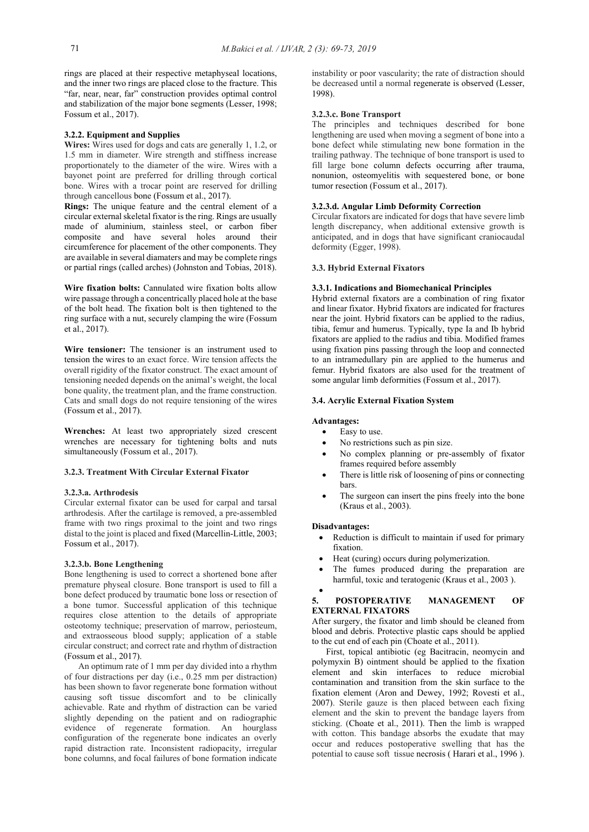rings are placed at their respective metaphyseal locations, and the inner two rings are placed close to the fracture. This "far, near, near, far" construction provides optimal control and stabilization of the major bone segments (Lesser, 1998; Fossum et al., 2017).

# **3.2.2. Equipment and Supplies**

**Wires:** Wires used for dogs and cats are generally 1, 1.2, or 1.5 mm in diameter. Wire strength and stiffness increase proportionately to the diameter of the wire. Wires with a bayonet point are preferred for drilling through cortical bone. Wires with a trocar point are reserved for drilling through cancellous bone (Fossum et al., 2017).

**Rings:** The unique feature and the central element of a circular external skeletal fixator is the ring. Rings are usually made of aluminium, stainless steel, or carbon fiber composite and have several holes around their circumference for placement of the other components. They are available in several diamaters and may be complete rings or partial rings (called arches) (Johnston and Tobias, 2018).

**Wire fixation bolts:** Cannulated wire fixation bolts allow wire passage through a concentrically placed hole at the base of the bolt head. The fixation bolt is then tightened to the ring surface with a nut, securely clamping the wire (Fossum et al., 2017).

**Wire tensioner:** The tensioner is an instrument used to tension the wires to an exact force. Wire tension affects the overall rigidity of the fixator construct. The exact amount of tensioning needed depends on the animal's weight, the local bone quality, the treatment plan, and the frame construction. Cats and small dogs do not require tensioning of the wires (Fossum et al., 2017).

**Wrenches:** At least two appropriately sized crescent wrenches are necessary for tightening bolts and nuts simultaneously (Fossum et al., 2017).

# **3.2.3. Treatment With Circular External Fixator**

# **3.2.3.a. Arthrodesis**

Circular external fixator can be used for carpal and tarsal arthrodesis. After the cartilage is removed, a pre-assembled frame with two rings proximal to the joint and two rings distal to the joint is placed and fixed (Marcellin-Little, 2003; Fossum et al., 2017).

### **3.2.3.b. Bone Lengthening**

Bone lengthening is used to correct a shortened bone after premature physeal closure. Bone transport is used to fill a bone defect produced by traumatic bone loss or resection of a bone tumor. Successful application of this technique requires close attention to the details of appropriate osteotomy technique; preservation of marrow, periosteum, and extraosseous blood supply; application of a stable circular construct; and correct rate and rhythm of distraction (Fossum et al., 2017).

An optimum rate of 1 mm per day divided into a rhythm of four distractions per day (i.e., 0.25 mm per distraction) has been shown to favor regenerate bone formation without causing soft tissue discomfort and to be clinically achievable. Rate and rhythm of distraction can be varied slightly depending on the patient and on radiographic evidence of regenerate formation. An hourglass configuration of the regenerate bone indicates an overly rapid distraction rate. Inconsistent radiopacity, irregular bone columns, and focal failures of bone formation indicate

instability or poor vascularity; the rate of distraction should be decreased until a normal regenerate is observed (Lesser, 1998).

### **3.2.3.c. Bone Transport**

The principles and techniques described for bone lengthening are used when moving a segment of bone into a bone defect while stimulating new bone formation in the trailing pathway. The technique of bone transport is used to fill large bone column defects occurring after trauma, nonunion, osteomyelitis with sequestered bone, or bone tumor resection (Fossum et al., 2017).

#### **3.2.3.d. Angular Limb Deformity Correction**

Circular fixators are indicated for dogs that have severe limb length discrepancy, when additional extensive growth is anticipated, and in dogs that have significant craniocaudal deformity (Egger, 1998).

# **3.3. Hybrid External Fixators**

# **3.3.1. Indications and Biomechanical Principles**

Hybrid external fixators are a combination of ring fixator and linear fixator. Hybrid fixators are indicated for fractures near the joint. Hybrid fixators can be applied to the radius, tibia, femur and humerus. Typically, type Ia and Ib hybrid fixators are applied to the radius and tibia. Modified frames using fixation pins passing through the loop and connected to an intramedullary pin are applied to the humerus and femur. Hybrid fixators are also used for the treatment of some angular limb deformities (Fossum et al., 2017).

#### **3.4. Acrylic External Fixation System**

#### **Advantages:**

- Easy to use.
- No restrictions such as pin size.
- No complex planning or pre-assembly of fixator frames required before assembly
- There is little risk of loosening of pins or connecting bars.
- The surgeon can insert the pins freely into the bone (Kraus et al., 2003).

### **Disadvantages:**

- Reduction is difficult to maintain if used for primary fixation.
- Heat (curing) occurs during polymerization.
- The fumes produced during the preparation are harmful, toxic and teratogenic (Kraus et al., 2003). •

# **5. POSTOPERATIVE MANAGEMENT OF EXTERNAL FIXATORS**

After surgery, the fixator and limb should be cleaned from blood and debris. Protective plastic caps should be applied to the cut end of each pin (Choate et al., 2011).

First, topical antibiotic (eg Bacitracin, neomycin and polymyxin B) ointment should be applied to the fixation element and skin interfaces to reduce microbial contamination and transition from the skin surface to the fixation element (Aron and Dewey, 1992; Rovesti et al., 2007). Sterile gauze is then placed between each fixing element and the skin to prevent the bandage layers from sticking. (Choate et al., 2011). Then the limb is wrapped with cotton. This bandage absorbs the exudate that may occur and reduces postoperative swelling that has the potential to cause soft tissue necrosis ( Harari et al., 1996 ).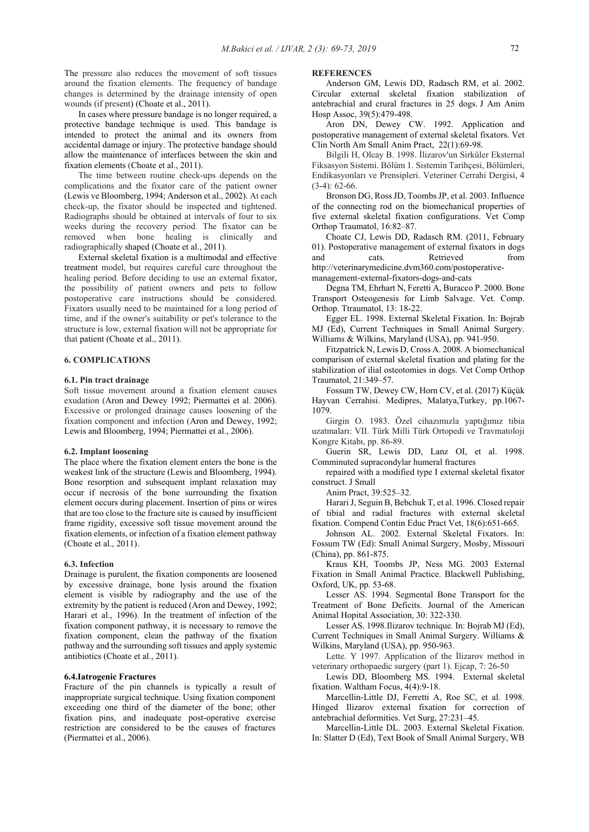The pressure also reduces the movement of soft tissues around the fixation elements. The frequency of bandage changes is determined by the drainage intensity of open wounds (if present) (Choate et al., 2011).

In cases where pressure bandage is no longer required, a protective bandage technique is used. This bandage is intended to protect the animal and its owners from accidental damage or injury. The protective bandage should allow the maintenance of interfaces between the skin and fixation elements (Choate et al., 2011).

The time between routine check-ups depends on the complications and the fixator care of the patient owner (Lewis ve Bloomberg, 1994; Anderson et al., 2002). At each check-up, the fixator should be inspected and tightened. Radiographs should be obtained at intervals of four to six weeks during the recovery period. The fixator can be removed when bone healing is clinically and radiographically shaped (Choate et al., 2011).

External skeletal fixation is a multimodal and effective treatment model, but requires careful care throughout the healing period. Before deciding to use an external fixator, the possibility of patient owners and pets to follow postoperative care instructions should be considered. Fixators usually need to be maintained for a long period of time, and if the owner's suitability or pet's tolerance to the structure is low, external fixation will not be appropriate for that patient (Choate et al., 2011).

#### **6. COMPLICATIONS**

#### **6.1. Pin tract drainage**

Soft tissue movement around a fixation element causes exudation (Aron and Dewey 1992; Piermattei et al. 2006). Excessive or prolonged drainage causes loosening of the fixation component and infection (Aron and Dewey, 1992; Lewis and Bloomberg, 1994; Piermattei et al., 2006).

#### **6.2. Implant loosening**

The place where the fixation element enters the bone is the weakest link of the structure (Lewis and Bloomberg, 1994). Bone resorption and subsequent implant relaxation may occur if necrosis of the bone surrounding the fixation element occurs during placement. Insertion of pins or wires that are too close to the fracture site is caused by insufficient frame rigidity, excessive soft tissue movement around the fixation elements, or infection of a fixation element pathway (Choate et al., 2011).

#### **6.3. Infection**

Drainage is purulent, the fixation components are loosened by excessive drainage, bone lysis around the fixation element is visible by radiography and the use of the extremity by the patient is reduced (Aron and Dewey, 1992; Harari et al., 1996). In the treatment of infection of the fixation component pathway, it is necessary to remove the fixation component, clean the pathway of the fixation pathway and the surrounding soft tissues and apply systemic antibiotics (Choate et al., 2011).

# **6.4.Iatrogenic Fractures**

Fracture of the pin channels is typically a result of inappropriate surgical technique. Using fixation component exceeding one third of the diameter of the bone; other fixation pins, and inadequate post-operative exercise restriction are considered to be the causes of fractures (Piermattei et al., 2006).

#### **REFERENCES**

Anderson GM, Lewis DD, Radasch RM, et al. 2002. Circular external skeletal fixation stabilization of antebrachial and crural fractures in 25 dogs. J Am Anim Hosp Assoc, 39(5):479-498.

Aron DN, Dewey CW. 1992. Application and postoperative management of external skeletal fixators. Vet Clin North Am Small Anim Pract, 22(1):69-98.

Bilgili H, Olcay B. 1998. İlizarov'un Sirküler Eksternal Fiksasyon Sistemi. Bölüm 1. Sistemin Tarihçesi, Bölümleri, Endikasyonları ve Prensipleri. Veteriner Cerrahi Dergisi, 4 (3-4): 62-66.

Bronson DG, Ross JD, Toombs JP, et al. 2003. Influence of the connecting rod on the biomechanical properties of five external skeletal fixation configurations. Vet Comp Orthop Traumatol, 16:82–87.

Choate CJ, Lewis DD, Radasch RM. (2011, February 01). Postoperative management of external fixators in dogs and cats. Retrieved from

http://veterinarymedicine.dvm360.com/postoperativemanagement-external-fixators-dogs-and-cats

Degna TM, Ehrhart N, Feretti A, Buracco P. 2000. Bone Transport Osteogenesis for Limb Salvage. Vet. Comp. Orthop. Ttraumatol, 13: 18-22.

Egger EL. 1998. External Skeletal Fixation. In: Bojrab MJ (Ed), Current Techniques in Small Animal Surgery. Williams & Wilkins, Maryland (USA), pp. 941-950.

Fitzpatrick N, Lewis D, Cross A. 2008. A biomechanical comparison of external skeletal fixation and plating for the stabilization of ilial osteotomies in dogs. Vet Comp Orthop Traumatol, 21:349–57.

Fossum TW, Dewey CW, Horn CV, et al. (2017) Küçük Hayvan Cerrahisi. Medipres, Malatya,Turkey, pp.1067- 1079.

Girgin O. 1983. Özel cihazımızla yaptığımız tibia uzatmaları: VII. Türk Milli Türk Ortopedi ve Travmatoloji Kongre Kitabı, pp. 86-89.

Guerin SR, Lewis DD, Lanz OI, et al. 1998. Comminuted supracondylar humeral fractures

repaired with a modified type I external skeletal fixator construct. J Small

Anim Pract, 39:525–32.

Harari J, Seguin B, Bebchuk T, et al. 1996. Closed repair of tibial and radial fractures with external skeletal fixation. Compend Contin Educ Pract Vet, 18(6):651-665.

Johnson AL. 2002. External Skeletal Fixators. In: Fossum TW (Ed): Small Animal Surgery, Mosby, Missouri (China), pp. 861-875.

Kraus KH, Toombs JP, Ness MG. 2003 External Fixation in Small Animal Practice. Blackwell Publishing, Oxford, UK, pp. 53-68.

Lesser AS. 1994. Segmental Bone Transport for the Treatment of Bone Deficits. Journal of the American Animal Hopital Association, 30: 322-330.

Lesser AS. 1998.Ilizarov technique. In: Bojrab MJ (Ed), Current Techniques in Small Animal Surgery. Williams & Wilkins, Maryland (USA), pp. 950-963.

Lette. Y 1997. Application of the İlizarov method in veterinary orthopaedic surgery (part 1). Ejcap, 7: 26-50

Lewis DD, Bloomberg MS. 1994. External skeletal fixation. Waltham Focus, 4(4):9-18.

Marcellin-Little DJ, Ferretti A, Roe SC, et al. 1998. Hinged Ilizarov external fixation for correction of antebrachial deformities. Vet Surg, 27:231–45.

Marcellin-Little DL. 2003. External Skeletal Fixation. In: Slatter D (Ed), Text Book of Small Animal Surgery, WB